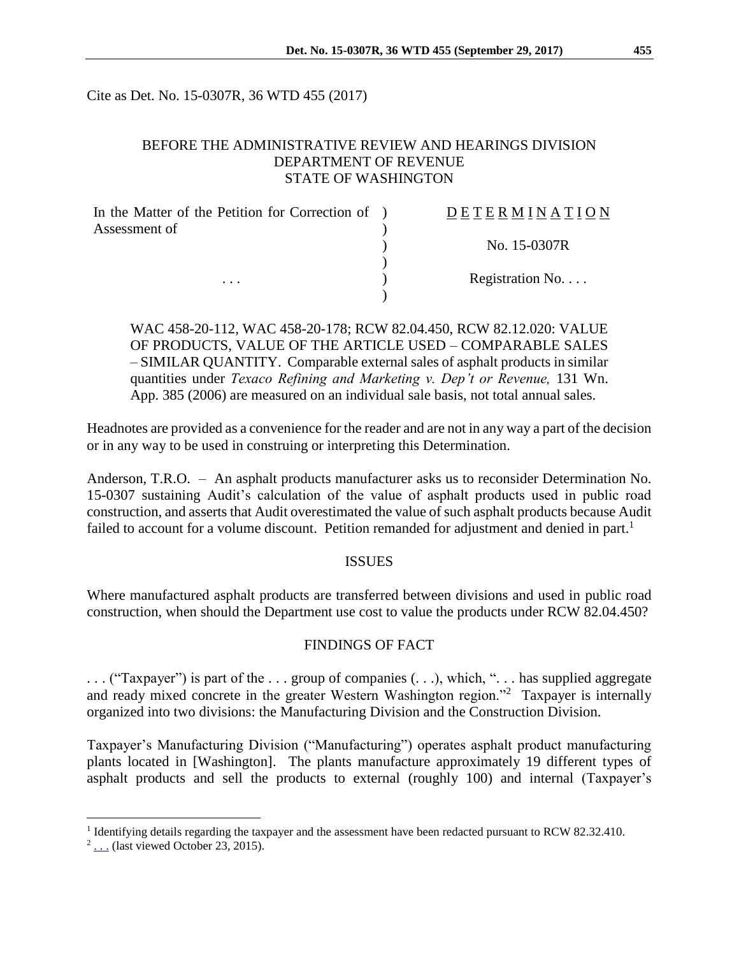Cite as Det. No. 15-0307R, 36 WTD 455 (2017)

# BEFORE THE ADMINISTRATIVE REVIEW AND HEARINGS DIVISION DEPARTMENT OF REVENUE STATE OF WASHINGTON

| In the Matter of the Petition for Correction of ) | DETERMINATION   |
|---------------------------------------------------|-----------------|
| Assessment of                                     | No. 15-0307R    |
| $\cdots$                                          |                 |
|                                                   | Registration No |
|                                                   |                 |

WAC 458-20-112, WAC 458-20-178; RCW 82.04.450, RCW 82.12.020: VALUE OF PRODUCTS, VALUE OF THE ARTICLE USED – COMPARABLE SALES – SIMILAR QUANTITY. Comparable external sales of asphalt products in similar quantities under *Texaco Refining and Marketing v. Dep't or Revenue,* 131 Wn. App. 385 (2006) are measured on an individual sale basis, not total annual sales.

Headnotes are provided as a convenience for the reader and are not in any way a part of the decision or in any way to be used in construing or interpreting this Determination.

Anderson, T.R.O. – An asphalt products manufacturer asks us to reconsider Determination No. 15-0307 sustaining Audit's calculation of the value of asphalt products used in public road construction, and asserts that Audit overestimated the value of such asphalt products because Audit failed to account for a volume discount. Petition remanded for adjustment and denied in part.<sup>1</sup>

#### ISSUES

Where manufactured asphalt products are transferred between divisions and used in public road construction, when should the Department use cost to value the products under RCW 82.04.450?

### FINDINGS OF FACT

. . . ("Taxpayer") is part of the . . . group of companies (. . .), which, ". . . has supplied aggregate and ready mixed concrete in the greater Western Washington region."<sup>2</sup> Taxpayer is internally organized into two divisions: the Manufacturing Division and the Construction Division.

Taxpayer's Manufacturing Division ("Manufacturing") operates asphalt product manufacturing plants located in [Washington]. The plants manufacture approximately 19 different types of asphalt products and sell the products to external (roughly 100) and internal (Taxpayer's

 $\overline{a}$ 

<sup>&</sup>lt;sup>1</sup> Identifying details regarding the taxpayer and the assessment have been redacted pursuant to RCW 82.32.410.

 $2 \dots$  (last viewed October 23, 2015)[.](http://www.milessandandgravel.com/)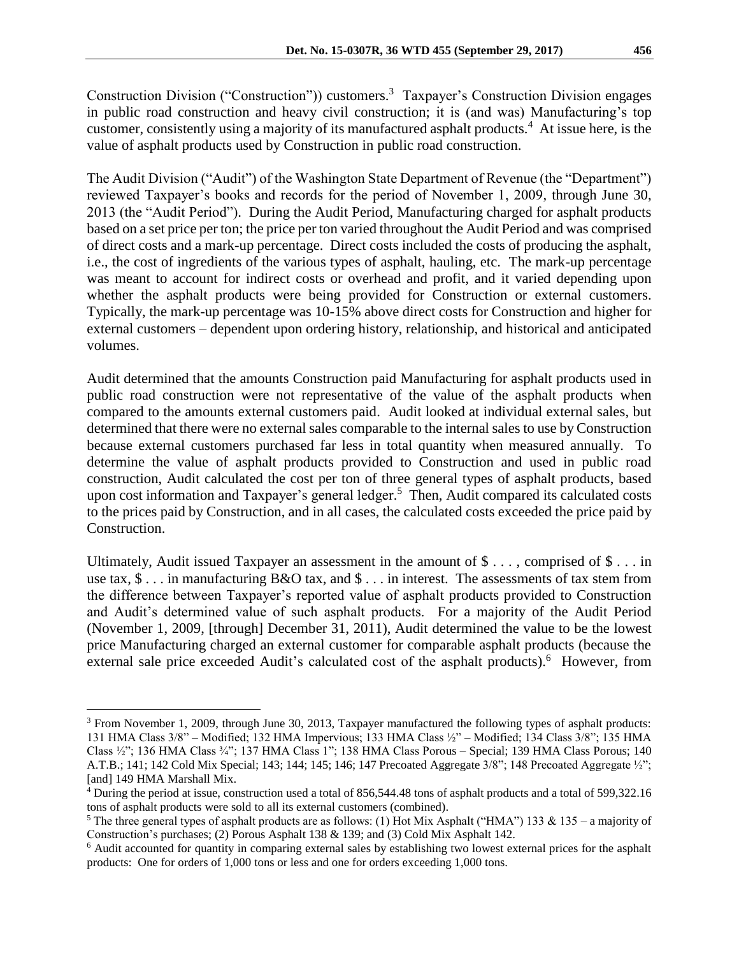Construction Division ("Construction")) customers.<sup>3</sup> Taxpayer's Construction Division engages in public road construction and heavy civil construction; it is (and was) Manufacturing's top customer, consistently using a majority of its manufactured asphalt products.<sup>4</sup> At issue here, is the value of asphalt products used by Construction in public road construction.

The Audit Division ("Audit") of the Washington State Department of Revenue (the "Department") reviewed Taxpayer's books and records for the period of November 1, 2009, through June 30, 2013 (the "Audit Period"). During the Audit Period, Manufacturing charged for asphalt products based on a set price per ton; the price per ton varied throughout the Audit Period and was comprised of direct costs and a mark-up percentage. Direct costs included the costs of producing the asphalt, i.e., the cost of ingredients of the various types of asphalt, hauling, etc. The mark-up percentage was meant to account for indirect costs or overhead and profit, and it varied depending upon whether the asphalt products were being provided for Construction or external customers. Typically, the mark-up percentage was 10-15% above direct costs for Construction and higher for external customers – dependent upon ordering history, relationship, and historical and anticipated volumes.

Audit determined that the amounts Construction paid Manufacturing for asphalt products used in public road construction were not representative of the value of the asphalt products when compared to the amounts external customers paid. Audit looked at individual external sales, but determined that there were no external sales comparable to the internal sales to use by Construction because external customers purchased far less in total quantity when measured annually. To determine the value of asphalt products provided to Construction and used in public road construction, Audit calculated the cost per ton of three general types of asphalt products, based upon cost information and Taxpayer's general ledger. 5 Then, Audit compared its calculated costs to the prices paid by Construction, and in all cases, the calculated costs exceeded the price paid by Construction.

Ultimately, Audit issued Taxpayer an assessment in the amount of  $\$\ldots$ , comprised of  $\$\ldots$  in use tax,  $\$\dots$  in manufacturing B&O tax, and  $\$\dots$  in interest. The assessments of tax stem from the difference between Taxpayer's reported value of asphalt products provided to Construction and Audit's determined value of such asphalt products. For a majority of the Audit Period (November 1, 2009, [through] December 31, 2011), Audit determined the value to be the lowest price Manufacturing charged an external customer for comparable asphalt products (because the external sale price exceeded Audit's calculated cost of the asphalt products).<sup>6</sup> However, from

 $\overline{a}$ 

<sup>&</sup>lt;sup>3</sup> From November 1, 2009, through June 30, 2013, Taxpayer manufactured the following types of asphalt products: 131 HMA Class 3/8" – Modified; 132 HMA Impervious; 133 HMA Class ½" – Modified; 134 Class 3/8"; 135 HMA Class ½"; 136 HMA Class ¾"; 137 HMA Class 1"; 138 HMA Class Porous – Special; 139 HMA Class Porous; 140 A.T.B.; 141; 142 Cold Mix Special; 143; 144; 145; 146; 147 Precoated Aggregate 3/8"; 148 Precoated Aggregate ½"; [and] 149 HMA Marshall Mix.

<sup>4</sup> During the period at issue, construction used a total of 856,544.48 tons of asphalt products and a total of 599,322.16 tons of asphalt products were sold to all its external customers (combined).

<sup>&</sup>lt;sup>5</sup> The three general types of asphalt products are as follows: (1) Hot Mix Asphalt ("HMA") 133 & 135 – a majority of Construction's purchases; (2) Porous Asphalt 138 & 139; and (3) Cold Mix Asphalt 142.

<sup>6</sup> Audit accounted for quantity in comparing external sales by establishing two lowest external prices for the asphalt products: One for orders of 1,000 tons or less and one for orders exceeding 1,000 tons.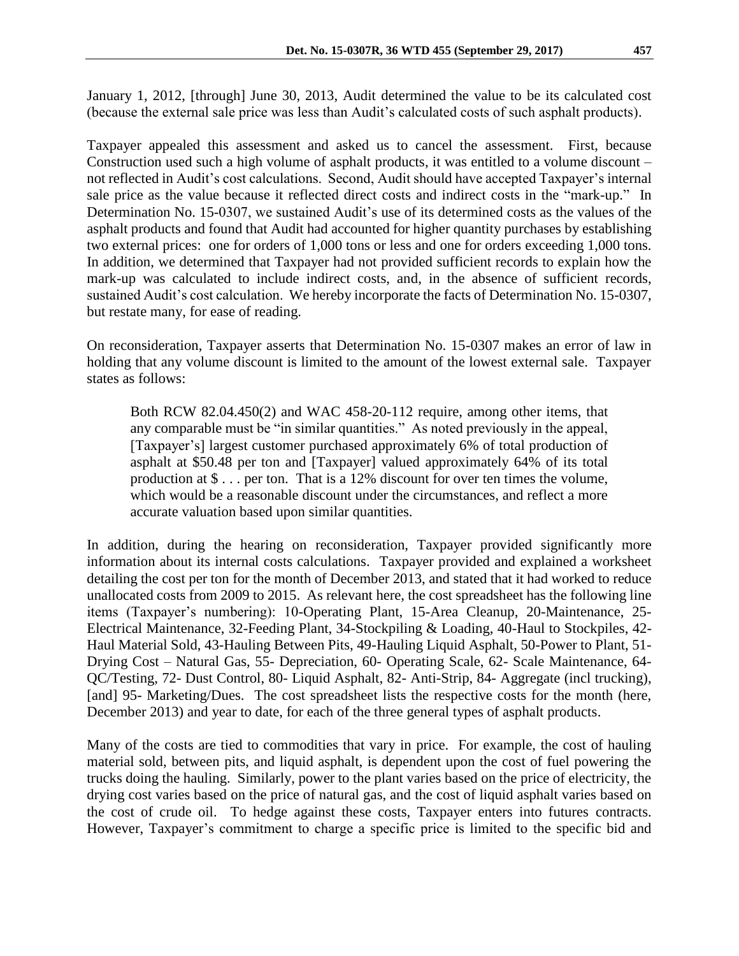January 1, 2012, [through] June 30, 2013, Audit determined the value to be its calculated cost (because the external sale price was less than Audit's calculated costs of such asphalt products).

Taxpayer appealed this assessment and asked us to cancel the assessment. First, because Construction used such a high volume of asphalt products, it was entitled to a volume discount – not reflected in Audit's cost calculations. Second, Audit should have accepted Taxpayer's internal sale price as the value because it reflected direct costs and indirect costs in the "mark-up." In Determination No. 15-0307, we sustained Audit's use of its determined costs as the values of the asphalt products and found that Audit had accounted for higher quantity purchases by establishing two external prices: one for orders of 1,000 tons or less and one for orders exceeding 1,000 tons. In addition, we determined that Taxpayer had not provided sufficient records to explain how the mark-up was calculated to include indirect costs, and, in the absence of sufficient records, sustained Audit's cost calculation. We hereby incorporate the facts of Determination No. 15-0307, but restate many, for ease of reading.

On reconsideration, Taxpayer asserts that Determination No. 15-0307 makes an error of law in holding that any volume discount is limited to the amount of the lowest external sale. Taxpayer states as follows:

Both RCW 82.04.450(2) and WAC 458-20-112 require, among other items, that any comparable must be "in similar quantities." As noted previously in the appeal, [Taxpayer's] largest customer purchased approximately 6% of total production of asphalt at \$50.48 per ton and [Taxpayer] valued approximately 64% of its total production at \$ . . . per ton. That is a 12% discount for over ten times the volume, which would be a reasonable discount under the circumstances, and reflect a more accurate valuation based upon similar quantities.

In addition, during the hearing on reconsideration, Taxpayer provided significantly more information about its internal costs calculations. Taxpayer provided and explained a worksheet detailing the cost per ton for the month of December 2013, and stated that it had worked to reduce unallocated costs from 2009 to 2015. As relevant here, the cost spreadsheet has the following line items (Taxpayer's numbering): 10-Operating Plant, 15-Area Cleanup, 20-Maintenance, 25- Electrical Maintenance, 32-Feeding Plant, 34-Stockpiling & Loading, 40-Haul to Stockpiles, 42- Haul Material Sold, 43-Hauling Between Pits, 49-Hauling Liquid Asphalt, 50-Power to Plant, 51- Drying Cost – Natural Gas, 55- Depreciation, 60- Operating Scale, 62- Scale Maintenance, 64- QC/Testing, 72- Dust Control, 80- Liquid Asphalt, 82- Anti-Strip, 84- Aggregate (incl trucking), [and] 95- Marketing/Dues. The cost spreadsheet lists the respective costs for the month (here, December 2013) and year to date, for each of the three general types of asphalt products.

Many of the costs are tied to commodities that vary in price. For example, the cost of hauling material sold, between pits, and liquid asphalt, is dependent upon the cost of fuel powering the trucks doing the hauling. Similarly, power to the plant varies based on the price of electricity, the drying cost varies based on the price of natural gas, and the cost of liquid asphalt varies based on the cost of crude oil. To hedge against these costs, Taxpayer enters into futures contracts. However, Taxpayer's commitment to charge a specific price is limited to the specific bid and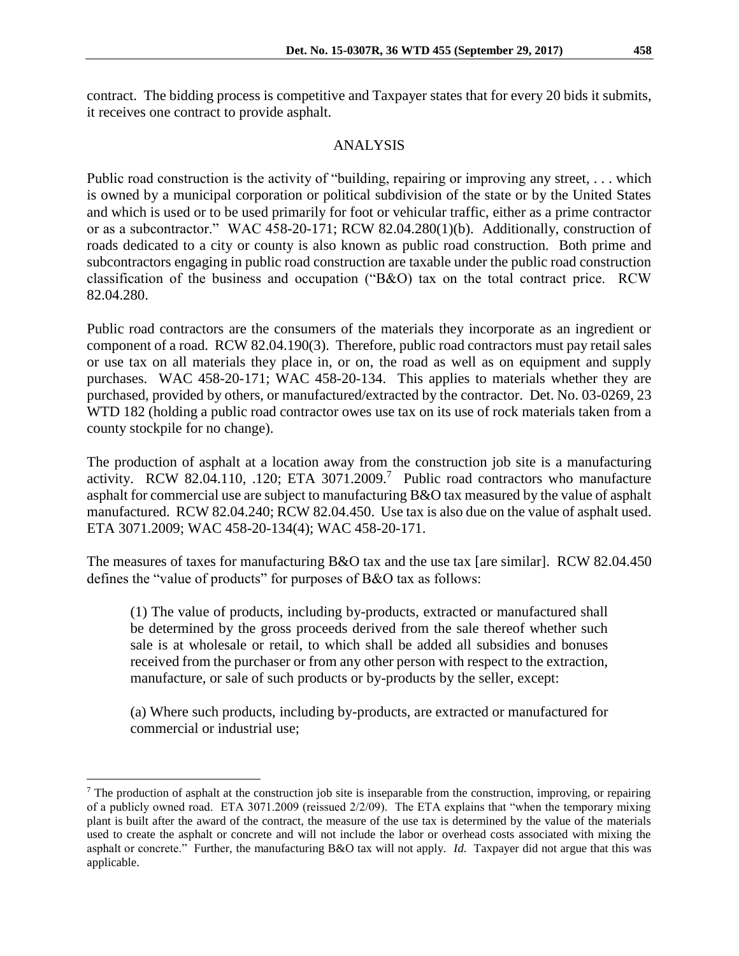contract. The bidding process is competitive and Taxpayer states that for every 20 bids it submits, it receives one contract to provide asphalt.

# ANALYSIS

Public road construction is the activity of "building, repairing or improving any street, ... which is owned by a municipal corporation or political subdivision of the state or by the United States and which is used or to be used primarily for foot or vehicular traffic, either as a prime contractor or as a subcontractor." WAC 458-20-171; RCW 82.04.280(1)(b). Additionally, construction of roads dedicated to a city or county is also known as public road construction. Both prime and subcontractors engaging in public road construction are taxable under the public road construction classification of the business and occupation ("B&O) tax on the total contract price. RCW 82.04.280.

Public road contractors are the consumers of the materials they incorporate as an ingredient or component of a road. RCW 82.04.190(3). Therefore, public road contractors must pay retail sales or use tax on all materials they place in, or on, the road as well as on equipment and supply purchases. WAC 458-20-171; WAC 458-20-134. This applies to materials whether they are purchased, provided by others, or manufactured/extracted by the contractor. Det. No. 03-0269, 23 WTD 182 (holding a public road contractor owes use tax on its use of rock materials taken from a county stockpile for no change).

The production of asphalt at a location away from the construction job site is a manufacturing activity. RCW 82.04.110, .120; ETA  $3071.2009$ .<sup>7</sup> Public road contractors who manufacture asphalt for commercial use are subject to manufacturing B&O tax measured by the value of asphalt manufactured. RCW 82.04.240; RCW 82.04.450. Use tax is also due on the value of asphalt used. ETA 3071.2009; WAC 458-20-134(4); WAC 458-20-171.

The measures of taxes for manufacturing B&O tax and the use tax [are similar]. RCW 82.04.450 defines the "value of products" for purposes of B&O tax as follows:

(1) The value of products, including by-products, extracted or manufactured shall be determined by the gross proceeds derived from the sale thereof whether such sale is at wholesale or retail, to which shall be added all subsidies and bonuses received from the purchaser or from any other person with respect to the extraction, manufacture, or sale of such products or by-products by the seller, except:

(a) Where such products, including by-products, are extracted or manufactured for commercial or industrial use;

 $\overline{a}$ 

<sup>&</sup>lt;sup>7</sup> The production of asphalt at the construction job site is inseparable from the construction, improving, or repairing of a publicly owned road. ETA 3071.2009 (reissued 2/2/09). The ETA explains that "when the temporary mixing plant is built after the award of the contract, the measure of the use tax is determined by the value of the materials used to create the asphalt or concrete and will not include the labor or overhead costs associated with mixing the asphalt or concrete." Further, the manufacturing B&O tax will not apply. *Id.* Taxpayer did not argue that this was applicable.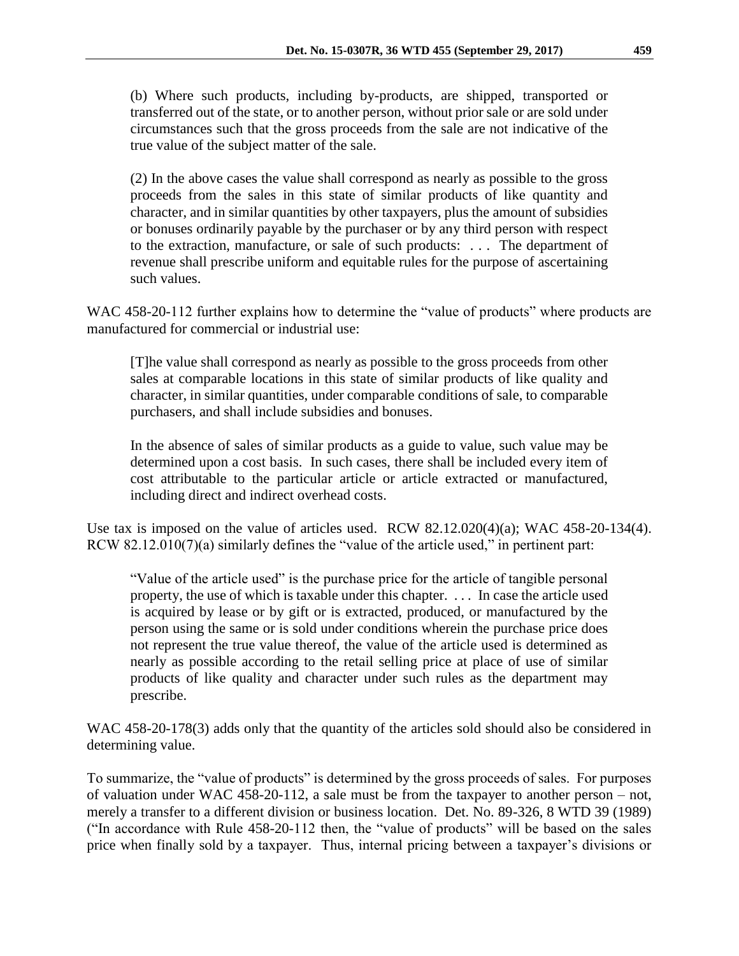(b) Where such products, including by-products, are shipped, transported or transferred out of the state, or to another person, without prior sale or are sold under circumstances such that the gross proceeds from the sale are not indicative of the true value of the subject matter of the sale.

(2) In the above cases the value shall correspond as nearly as possible to the gross proceeds from the sales in this state of similar products of like quantity and character, and in similar quantities by other taxpayers, plus the amount of subsidies or bonuses ordinarily payable by the purchaser or by any third person with respect to the extraction, manufacture, or sale of such products: . . . The department of revenue shall prescribe uniform and equitable rules for the purpose of ascertaining such values.

WAC 458-20-112 further explains how to determine the "value of products" where products are manufactured for commercial or industrial use:

[T]he value shall correspond as nearly as possible to the gross proceeds from other sales at comparable locations in this state of similar products of like quality and character, in similar quantities, under comparable conditions of sale, to comparable purchasers, and shall include subsidies and bonuses.

In the absence of sales of similar products as a guide to value, such value may be determined upon a cost basis. In such cases, there shall be included every item of cost attributable to the particular article or article extracted or manufactured, including direct and indirect overhead costs.

Use tax is imposed on the value of articles used. RCW  $82.12.020(4)(a)$ ; WAC  $458-20-134(4)$ . RCW 82.12.010(7)(a) similarly defines the "value of the article used," in pertinent part:

"Value of the article used" is the purchase price for the article of tangible personal property, the use of which is taxable under this chapter. . . . In case the article used is acquired by lease or by gift or is extracted, produced, or manufactured by the person using the same or is sold under conditions wherein the purchase price does not represent the true value thereof, the value of the article used is determined as nearly as possible according to the retail selling price at place of use of similar products of like quality and character under such rules as the department may prescribe.

WAC 458-20-178(3) adds only that the quantity of the articles sold should also be considered in determining value.

To summarize, the "value of products" is determined by the gross proceeds of sales. For purposes of valuation under WAC 458-20-112, a sale must be from the taxpayer to another person – not, merely a transfer to a different division or business location. Det. No. 89-326, 8 WTD 39 (1989) ("In accordance with Rule 458-20-112 then, the "value of products" will be based on the sales price when finally sold by a taxpayer. Thus, internal pricing between a taxpayer's divisions or